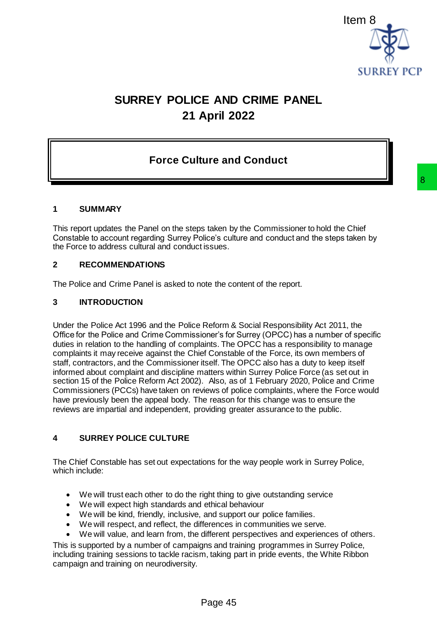

# **SURREY POLICE AND CRIME PANEL 21 April 2022**

## **Force Culture and Conduct**

#### **1 SUMMARY**

This report updates the Panel on the steps taken by the Commissioner to hold the Chief Constable to account regarding Surrey Police's culture and conduct and the steps taken by the Force to address cultural and conduct issues.

#### **2 RECOMMENDATIONS**

The Police and Crime Panel is asked to note the content of the report.

#### **3 INTRODUCTION**

Under the Police Act 1996 and the Police Reform & Social Responsibility Act 2011, the Office for the Police and Crime Commissioner's for Surrey (OPCC) has a number of specific duties in relation to the handling of complaints. The OPCC has a responsibility to manage complaints it may receive against the Chief Constable of the Force, its own members of staff, contractors, and the Commissioner itself. The OPCC also has a duty to keep itself informed about complaint and discipline matters within Surrey Police Force (as set out in section 15 of the Police Reform Act 2002). Also, as of 1 February 2020, Police and Crime Commissioners (PCCs) have taken on reviews of police complaints, where the Force would have previously been the appeal body. The reason for this change was to ensure the reviews are impartial and independent, providing greater assurance to the public. 8<br>s taken by the Commissioner to hold the Chief<br>blice's culture and conduct and the steps taken by<br>issues.<br>tote the content of the report.<br>Reform & Social Responsibility Act 2011, the<br>oners for Surrey (OPCC) has a number o

#### **4 SURREY POLICE CULTURE**

The Chief Constable has set out expectations for the way people work in Surrey Police, which include:

- We will trust each other to do the right thing to give outstanding service
- We will expect high standards and ethical behaviour
- We will be kind, friendly, inclusive, and support our police families.
- We will respect, and reflect, the differences in communities we serve.
- We will value, and learn from, the different perspectives and experiences of others.

This is supported by a number of campaigns and training programmes in Surrey Police, including training sessions to tackle racism, taking part in pride events, the White Ribbon campaign and training on neurodiversity.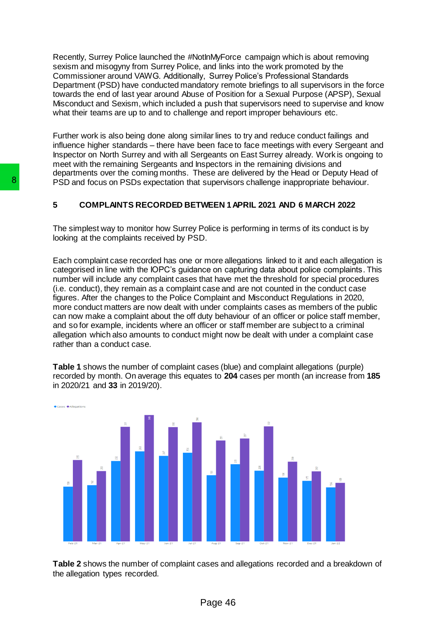Recently, Surrey Police launched the #NotInMyForce campaign which is about removing sexism and misogyny from Surrey Police, and links into the work promoted by the Commissioner around VAWG. Additionally, Surrey Police's Professional Standards Department (PSD) have conducted mandatory remote briefings to all supervisors in the force towards the end of last year around Abuse of Position for a Sexual Purpose (APSP), Sexual Misconduct and Sexism, which included a push that supervisors need to supervise and know what their teams are up to and to challenge and report improper behaviours etc.

Further work is also being done along similar lines to try and reduce conduct failings and influence higher standards – there have been face to face meetings with every Sergeant and Inspector on North Surrey and with all Sergeants on East Surrey already. Work is ongoing to meet with the remaining Sergeants and Inspectors in the remaining divisions and departments over the coming months. These are delivered by the Head or Deputy Head of PSD and focus on PSDs expectation that supervisors challenge inappropriate behaviour.

#### **5 COMPLAINTS RECORDED BETWEEN 1APRIL 2021 AND 6 MARCH 2022**

The simplest way to monitor how Surrey Police is performing in terms of its conduct is by looking at the complaints received by PSD.

Each complaint case recorded has one or more allegations linked to it and each allegation is categorised in line with the IOPC's guidance on capturing data about police complaints. This number will include any complaint cases that have met the threshold for special procedures (i.e. conduct), they remain as a complaint case and are not counted in the conduct case figures. After the changes to the Police Complaint and Misconduct Regulations in 2020, more conduct matters are now dealt with under complaints cases as members of the public can now make a complaint about the off duty behaviour of an officer or police staff member, and so for example, incidents where an officer or staff member are subject to a criminal allegation which also amounts to conduct might now be dealt with under a complaint case rather than a conduct case.

**Table 1** shows the number of complaint cases (blue) and complaint allegations (purple) recorded by month. On average this equates to **204** cases per month (an increase from **185** in 2020/21 and **33** in 2019/20).



**Table 2** shows the number of complaint cases and allegations recorded and a breakdown of the allegation types recorded.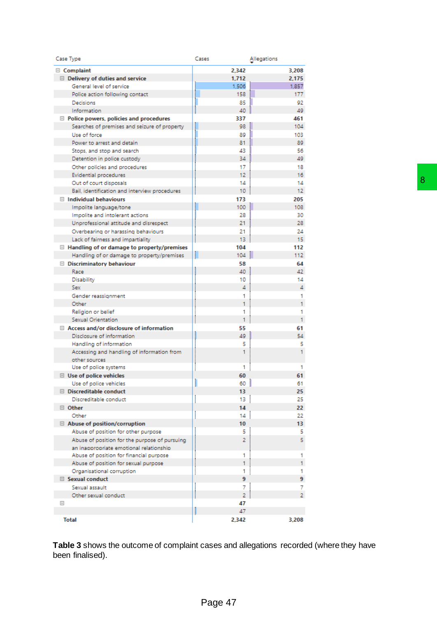| 2,342 | 3,208                                                                                                                                                            |                                                                                                                                        |
|-------|------------------------------------------------------------------------------------------------------------------------------------------------------------------|----------------------------------------------------------------------------------------------------------------------------------------|
| 1,712 | 2,175                                                                                                                                                            |                                                                                                                                        |
| 1,506 | 1,857                                                                                                                                                            |                                                                                                                                        |
| 158   | 177                                                                                                                                                              |                                                                                                                                        |
| 85    | 92                                                                                                                                                               |                                                                                                                                        |
| 40    | 49                                                                                                                                                               |                                                                                                                                        |
| 337   | 461                                                                                                                                                              |                                                                                                                                        |
| 98    | 104                                                                                                                                                              |                                                                                                                                        |
| 89    | 103                                                                                                                                                              |                                                                                                                                        |
| 81    | 89.                                                                                                                                                              |                                                                                                                                        |
| 43    | 56                                                                                                                                                               |                                                                                                                                        |
| 34    | 49                                                                                                                                                               |                                                                                                                                        |
| 17    | 18                                                                                                                                                               |                                                                                                                                        |
| 12    | 16                                                                                                                                                               |                                                                                                                                        |
| 14    | 14                                                                                                                                                               |                                                                                                                                        |
| 10    | 12 <sub>12</sub>                                                                                                                                                 |                                                                                                                                        |
| 173   | 205                                                                                                                                                              |                                                                                                                                        |
| 100   | 108                                                                                                                                                              |                                                                                                                                        |
| 28    | 30                                                                                                                                                               |                                                                                                                                        |
| 21    | 28.                                                                                                                                                              |                                                                                                                                        |
| 21    | 24                                                                                                                                                               |                                                                                                                                        |
| 13    | 15                                                                                                                                                               |                                                                                                                                        |
| 104   | 112                                                                                                                                                              |                                                                                                                                        |
|       | 112                                                                                                                                                              |                                                                                                                                        |
|       |                                                                                                                                                                  |                                                                                                                                        |
| 40    |                                                                                                                                                                  |                                                                                                                                        |
|       |                                                                                                                                                                  |                                                                                                                                        |
|       | 4                                                                                                                                                                |                                                                                                                                        |
|       |                                                                                                                                                                  |                                                                                                                                        |
|       |                                                                                                                                                                  |                                                                                                                                        |
|       |                                                                                                                                                                  |                                                                                                                                        |
|       |                                                                                                                                                                  |                                                                                                                                        |
|       |                                                                                                                                                                  |                                                                                                                                        |
|       |                                                                                                                                                                  |                                                                                                                                        |
|       |                                                                                                                                                                  |                                                                                                                                        |
|       |                                                                                                                                                                  |                                                                                                                                        |
|       |                                                                                                                                                                  |                                                                                                                                        |
|       |                                                                                                                                                                  |                                                                                                                                        |
|       |                                                                                                                                                                  |                                                                                                                                        |
| г     |                                                                                                                                                                  |                                                                                                                                        |
|       |                                                                                                                                                                  |                                                                                                                                        |
|       |                                                                                                                                                                  |                                                                                                                                        |
|       |                                                                                                                                                                  |                                                                                                                                        |
|       |                                                                                                                                                                  |                                                                                                                                        |
|       |                                                                                                                                                                  |                                                                                                                                        |
|       |                                                                                                                                                                  |                                                                                                                                        |
|       |                                                                                                                                                                  |                                                                                                                                        |
|       |                                                                                                                                                                  |                                                                                                                                        |
|       |                                                                                                                                                                  |                                                                                                                                        |
|       |                                                                                                                                                                  |                                                                                                                                        |
|       |                                                                                                                                                                  |                                                                                                                                        |
|       |                                                                                                                                                                  |                                                                                                                                        |
|       |                                                                                                                                                                  |                                                                                                                                        |
|       | 7                                                                                                                                                                |                                                                                                                                        |
|       |                                                                                                                                                                  |                                                                                                                                        |
|       |                                                                                                                                                                  |                                                                                                                                        |
|       |                                                                                                                                                                  |                                                                                                                                        |
| 2,342 | 3,208                                                                                                                                                            |                                                                                                                                        |
|       | 104<br>58<br>10<br>4<br>1<br>1<br>1<br>1<br>55<br>49<br>5<br>1<br>1<br>60<br>Ш<br>13<br>13<br>14<br>14<br>10<br>5<br>2<br>1<br>1<br>1<br>9<br>7<br>2<br>47<br>47 | 64<br>42<br>14<br>1<br>1.<br>1<br>61<br>54<br>5<br>1.<br>1<br>61<br>60<br>61<br>25<br>25<br>22.<br>22<br>13<br>5<br>5.<br>1.<br>9<br>2 |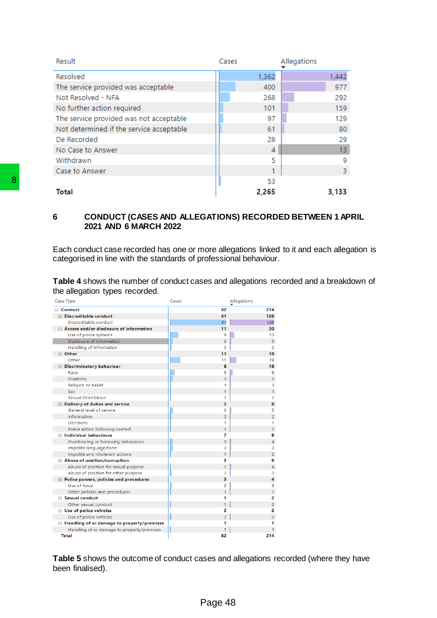| Result                                   | Cases | Allegations |
|------------------------------------------|-------|-------------|
| Resolved                                 | 1,362 | 1,442       |
| The service provided was acceptable      | 400   | 977         |
| Not Resolved - NFA                       | 268   | 292         |
| No further action required               | 101   | 159         |
| The service provided was not acceptable  | 97    | 129         |
| Not determined if the service acceptable | 61    | 80          |
| De Recorded                              | 28    | 29          |
| No Case to Answer                        | 4     | 13          |
| Withdrawn                                | 5     | 9           |
| Case to Answer                           |       | 3           |
|                                          | 53    |             |
| Total                                    | 2,265 | 3,133       |

## **6 CONDUCT (CASES AND ALLEGATIONS) RECORDED BETWEEN 1 APRIL 2021 AND 6 MARCH 2022**

Each conduct case recorded has one or more allegations linked to it and each allegation is categorised in line with the standards of professional behaviour.

**Table 4** shows the number of conduct cases and allegations recorded and a breakdown of the allegation types recorded.

| Each conduct case recorded has one or more allegations linked<br>categorised in line with the standards of professional behaviour |                     |
|-----------------------------------------------------------------------------------------------------------------------------------|---------------------|
|                                                                                                                                   |                     |
|                                                                                                                                   |                     |
| <b>Table 4</b> shows the number of conduct cases and allegations re                                                               |                     |
| the allegation types recorded.                                                                                                    |                     |
| Case Type                                                                                                                         | Cases               |
| □ Conduct<br>□ Discreditable conduct                                                                                              | 82<br>61            |
| Discreditable conduct                                                                                                             | 61                  |
| □ Access and/or disclosure of information                                                                                         | 11                  |
| Use of police systems                                                                                                             | 9                   |
| Disclosure of information<br>Handling of information                                                                              | 3<br>2              |
| □ Other                                                                                                                           | 11                  |
| Other                                                                                                                             | 11                  |
| <b>E</b> Discriminatory behaviour                                                                                                 | 8                   |
| Race<br><b>Disability</b>                                                                                                         | 5<br>3              |
| Religion or belief                                                                                                                | 1                   |
| <b>Sex</b>                                                                                                                        | 1                   |
| <b>Sexual Orientation</b>                                                                                                         | 1                   |
| □ Delivery of duties and service<br>General level of service                                                                      | 5<br>3              |
| Information                                                                                                                       | $\overline{2}$      |
| Decisions                                                                                                                         | 1                   |
| Police action following contact                                                                                                   | 1                   |
| $\Box$ Individual behaviours<br>Overbearing or harassing behaviours                                                               | 7<br>3              |
| Impolite language/tone                                                                                                            | 3                   |
| Impolite and intolerant actions                                                                                                   | 1                   |
| □ Abuse of position/corruption                                                                                                    | з<br>1              |
| Abuse of position for sexual purpose<br>Abuse of position for other purpose                                                       | 2                   |
| $\Box$ Police powers, policies and procedures                                                                                     | з                   |
| Use of force                                                                                                                      | 2                   |
| Other policies and procedures<br>$\Box$ Sexual conduct                                                                            | 1<br>1              |
| Other sexual conduct                                                                                                              |                     |
| □ Use of police vehicles                                                                                                          | 2                   |
| Use of police vehicles<br>$\Box$ Handling of or damage to property/premises                                                       | $\overline{2}$<br>1 |
| Handling of or damage to property/premises                                                                                        | 1                   |
| Total                                                                                                                             | 82                  |

**Table 5** shows the outcome of conduct cases and allegations recorded (where they have been finalised).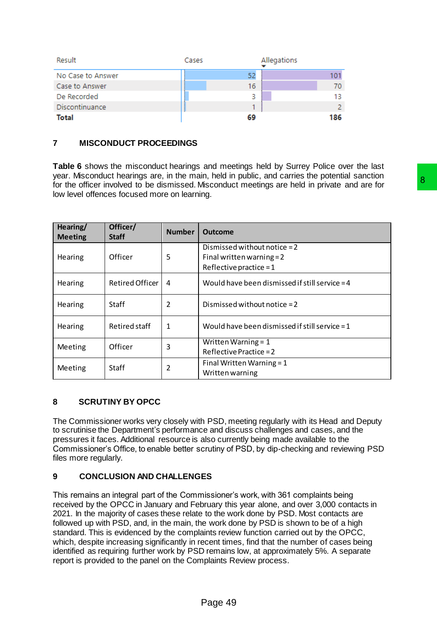| Result            | Cases | Allegations |
|-------------------|-------|-------------|
| No Case to Answer | 52    |             |
| Case to Answer    | 16    | 70          |
| De Recorded       | 3     | 13.         |
| Discontinuance    |       | 2.          |
| <b>Total</b>      | 69    | 186         |

## **7 MISCONDUCT PROCEEDINGS**

**Table 6** shows the misconduct hearings and meetings held by Surrey Police over the last year. Misconduct hearings are, in the main, held in public, and carries the potential sanction for the officer involved to be dismissed. Misconduct meetings are held in private and are for low level offences focused more on learning.

| <b>Meeting</b>        | Officer/<br><b>Staff</b>         | <b>Number</b>               | <b>Outcome</b>                                                                                                                                                                                                                                                                                                                                                          |
|-----------------------|----------------------------------|-----------------------------|-------------------------------------------------------------------------------------------------------------------------------------------------------------------------------------------------------------------------------------------------------------------------------------------------------------------------------------------------------------------------|
|                       |                                  |                             | Dismissed without notice = 2                                                                                                                                                                                                                                                                                                                                            |
| Officer<br>Hearing    | 5                                | Final written warning = $2$ |                                                                                                                                                                                                                                                                                                                                                                         |
|                       |                                  |                             | Reflective practice = $1$                                                                                                                                                                                                                                                                                                                                               |
| Hearing               | Retired Officer                  | 4                           | Would have been dismissed if still service = 4                                                                                                                                                                                                                                                                                                                          |
| Hearing               | <b>Staff</b>                     | $\overline{2}$              | Dismissed without notice = 2                                                                                                                                                                                                                                                                                                                                            |
| Hearing               | Retired staff                    | $\mathbf{1}$                | Would have been dismissed if still service = $1$                                                                                                                                                                                                                                                                                                                        |
|                       |                                  |                             | Written Warning = 1                                                                                                                                                                                                                                                                                                                                                     |
| Officer<br>Meeting    | 3                                | Reflective Practice = $2$   |                                                                                                                                                                                                                                                                                                                                                                         |
|                       | $\overline{2}$                   | Final Written Warning = $1$ |                                                                                                                                                                                                                                                                                                                                                                         |
| Meeting               | Staff                            |                             | Written warning                                                                                                                                                                                                                                                                                                                                                         |
| files more regularly. |                                  |                             | The Commissioner works very closely with PSD, meeting regularly with its Head and Deputy<br>to scrutinise the Department's performance and discuss challenges and cases, and the<br>pressures it faces. Additional resource is also currently being made available to the<br>Commissioner's Office, to enable better scrutiny of PSD, by dip-checking and reviewing PSD |
|                       | <b>CONCLUSION AND CHALLENGES</b> |                             |                                                                                                                                                                                                                                                                                                                                                                         |
|                       |                                  |                             | This remains an integral part of the Commissioner's work, with 361 complaints being<br>received by the OPCC in January and February this year alone, and over 3,000 contacts in<br>2021. In the majority of cases these relate to the work done by PSD. Most contacts are                                                                                               |

## **8 SCRUTINY BY OPCC**

## **9 CONCLUSION AND CHALLENGES**